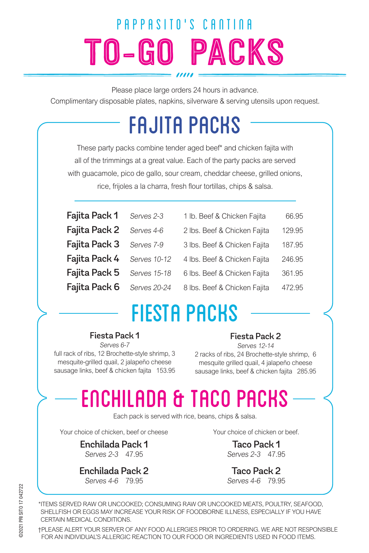# TO-GO PACKS PAPPASITO'S CANTINA

Please place large orders 24 hours in advance.

Complimentary disposable plates, napkins, silverware & serving utensils upon request.

## FAJITA PACKS

These party packs combine tender aged beef\* and chicken fajita with all of the trimmings at a great value. Each of the party packs are served with guacamole, pico de gallo, sour cream, cheddar cheese, grilled onions, rice, frijoles a la charra, fresh flour tortillas, chips & salsa.

| Fajita Pack 1            | Serves 2-3   | 1 lb. Beef & Chicken Fajita  | 66.95  |
|--------------------------|--------------|------------------------------|--------|
| Fajita Pack 2            | Serves 4-6   | 2 lbs. Beef & Chicken Fajita | 129.95 |
| Fajita Pack 3 Serves 7-9 |              | 3 lbs. Beef & Chicken Fajita | 187.95 |
| Fajita Pack 4            | Serves 10-12 | 4 lbs. Beef & Chicken Fajita | 246.95 |
| Fajita Pack 5            | Serves 15-18 | 6 lbs. Beef & Chicken Fajita | 361.95 |
| Fajita Pack 6            | Serves 20-24 | 8 lbs. Beef & Chicken Fajita | 472.95 |

## FIESTA PACKS

#### Fiesta Pack 1

Serves 6-7 full rack of ribs, 12 Brochette-style shrimp, 3 mesquite-grilled quail, 2 jalapeño cheese sausage links, beef & chicken fajita 153.95

#### Fiesta Pack 2

Serves 12-14 2 racks of ribs, 24 Brochette-style shrimp, 6 mesquite grilled quail, 4 jalapeño cheese sausage links, beef & chicken fajita 285.95

## ENCHILADA & TACO PACKS

Each pack is served with rice, beans, chips & salsa.

Your choice of chicken, beef or cheese

Enchilada Pack 1 Serves 2-3 47.95

Enchilada Pack 2 Serves 4-6 79.95

Your choice of chicken or beef.

Taco Pack 1 Serves 2-3 47.95

Taco Pack 2 Serves 4-6 79.95

\*ITEMS SERVED RAW OR UNCOOKED; CONSUMING RAW OR UNCOOKED MEATS, POULTRY, SEAFOOD, SHELLFISH OR EGGS MAY INCREASE YOUR RISK OF FOODBORNE ILLNESS, ESPECIALLY IF YOU HAVE CERTAIN MEDICAL CONDITIONS.

†PLEASE ALERT YOUR SERVER OF ANY FOOD ALLERGIES PRIOR TO ORDERING. WE ARE NOT RESPONSIBLE FOR AN INDIVIDUAL'S ALLERGIC REACTION TO OUR FOOD OR INGREDIENTS USED IN FOOD ITEMS.